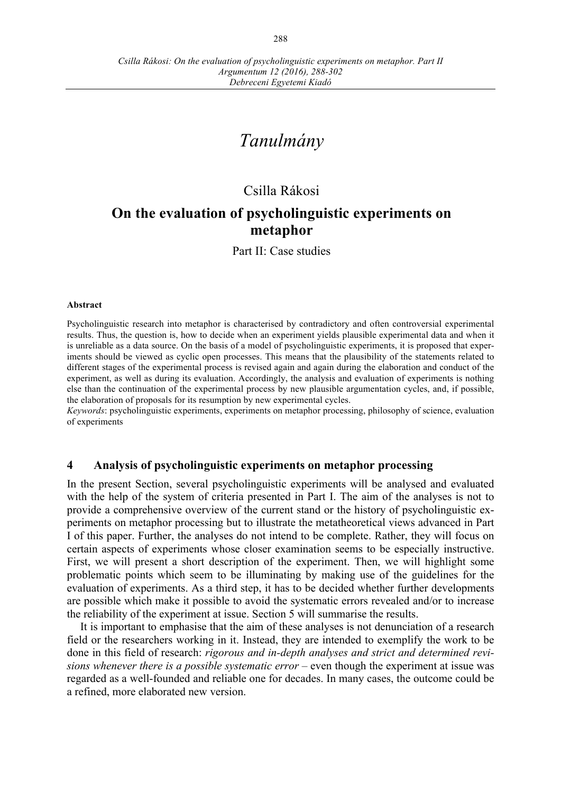# *Tanulmány*

# Csilla Rákosi

# **On the evaluation of psycholinguistic experiments on metaphor**

Part II: Case studies

#### **Abstract**

Psycholinguistic research into metaphor is characterised by contradictory and often controversial experimental results. Thus, the question is, how to decide when an experiment yields plausible experimental data and when it is unreliable as a data source. On the basis of a model of psycholinguistic experiments, it is proposed that experiments should be viewed as cyclic open processes. This means that the plausibility of the statements related to different stages of the experimental process is revised again and again during the elaboration and conduct of the experiment, as well as during its evaluation. Accordingly, the analysis and evaluation of experiments is nothing else than the continuation of the experimental process by new plausible argumentation cycles, and, if possible, the elaboration of proposals for its resumption by new experimental cycles.

*Keywords*: psycholinguistic experiments, experiments on metaphor processing, philosophy of science, evaluation of experiments

#### **4 Analysis of psycholinguistic experiments on metaphor processing**

In the present Section, several psycholinguistic experiments will be analysed and evaluated with the help of the system of criteria presented in Part I. The aim of the analyses is not to provide a comprehensive overview of the current stand or the history of psycholinguistic experiments on metaphor processing but to illustrate the metatheoretical views advanced in Part I of this paper. Further, the analyses do not intend to be complete. Rather, they will focus on certain aspects of experiments whose closer examination seems to be especially instructive. First, we will present a short description of the experiment. Then, we will highlight some problematic points which seem to be illuminating by making use of the guidelines for the evaluation of experiments. As a third step, it has to be decided whether further developments are possible which make it possible to avoid the systematic errors revealed and/or to increase the reliability of the experiment at issue. Section 5 will summarise the results.

It is important to emphasise that the aim of these analyses is not denunciation of a research field or the researchers working in it. Instead, they are intended to exemplify the work to be done in this field of research: *rigorous and in-depth analyses and strict and determined revisions whenever there is a possible systematic error* – even though the experiment at issue was regarded as a well-founded and reliable one for decades. In many cases, the outcome could be a refined, more elaborated new version.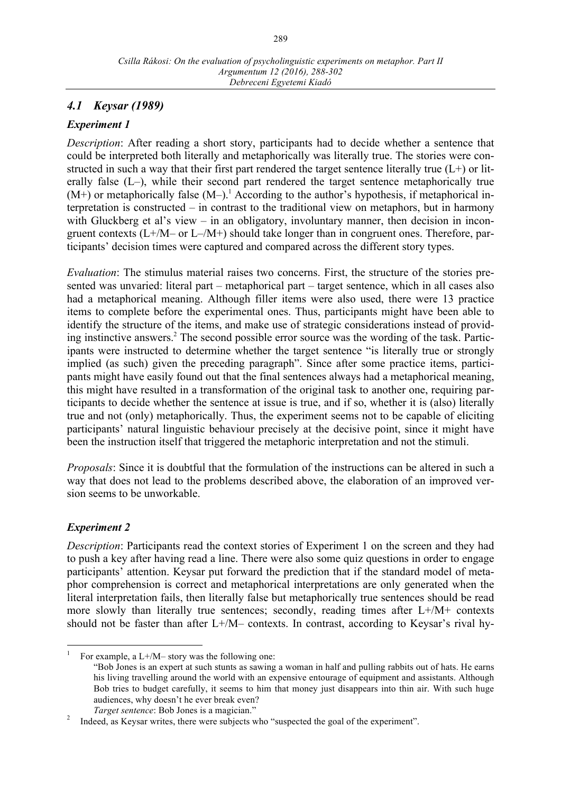# *4.1 Keysar (1989)*

#### *Experiment 1*

*Description*: After reading a short story, participants had to decide whether a sentence that could be interpreted both literally and metaphorically was literally true. The stories were constructed in such a way that their first part rendered the target sentence literally true  $(L+)$  or literally false (L–), while their second part rendered the target sentence metaphorically true  $(M<sup>+</sup>)$  or metaphorically false  $(M<sup>-</sup>)$ .<sup>1</sup> According to the author's hypothesis, if metaphorical interpretation is constructed – in contrast to the traditional view on metaphors, but in harmony with Gluckberg et al's view – in an obligatory, involuntary manner, then decision in incongruent contexts (L+/M– or L–/M+) should take longer than in congruent ones. Therefore, participants' decision times were captured and compared across the different story types.

*Evaluation*: The stimulus material raises two concerns. First, the structure of the stories presented was unvaried: literal part – metaphorical part – target sentence, which in all cases also had a metaphorical meaning. Although filler items were also used, there were 13 practice items to complete before the experimental ones. Thus, participants might have been able to identify the structure of the items, and make use of strategic considerations instead of providing instinctive answers.<sup>2</sup> The second possible error source was the wording of the task. Participants were instructed to determine whether the target sentence "is literally true or strongly implied (as such) given the preceding paragraph". Since after some practice items, participants might have easily found out that the final sentences always had a metaphorical meaning, this might have resulted in a transformation of the original task to another one, requiring participants to decide whether the sentence at issue is true, and if so, whether it is (also) literally true and not (only) metaphorically. Thus, the experiment seems not to be capable of eliciting participants' natural linguistic behaviour precisely at the decisive point, since it might have been the instruction itself that triggered the metaphoric interpretation and not the stimuli.

*Proposals*: Since it is doubtful that the formulation of the instructions can be altered in such a way that does not lead to the problems described above, the elaboration of an improved version seems to be unworkable.

## *Experiment 2*

*Description*: Participants read the context stories of Experiment 1 on the screen and they had to push a key after having read a line. There were also some quiz questions in order to engage participants' attention. Keysar put forward the prediction that if the standard model of metaphor comprehension is correct and metaphorical interpretations are only generated when the literal interpretation fails, then literally false but metaphorically true sentences should be read more slowly than literally true sentences; secondly, reading times after L+/M+ contexts should not be faster than after L+/M– contexts. In contrast, according to Keysar's rival hy-

For example, a  $L+/M-$  story was the following one:

<sup>&</sup>quot;Bob Jones is an expert at such stunts as sawing a woman in half and pulling rabbits out of hats. He earns his living travelling around the world with an expensive entourage of equipment and assistants. Although Bob tries to budget carefully, it seems to him that money just disappears into thin air. With such huge audiences, why doesn't he ever break even?

*Target sentence*: Bob Jones is a magician."<br>Indeed, as Keysar writes, there were subjects who "suspected the goal of the experiment".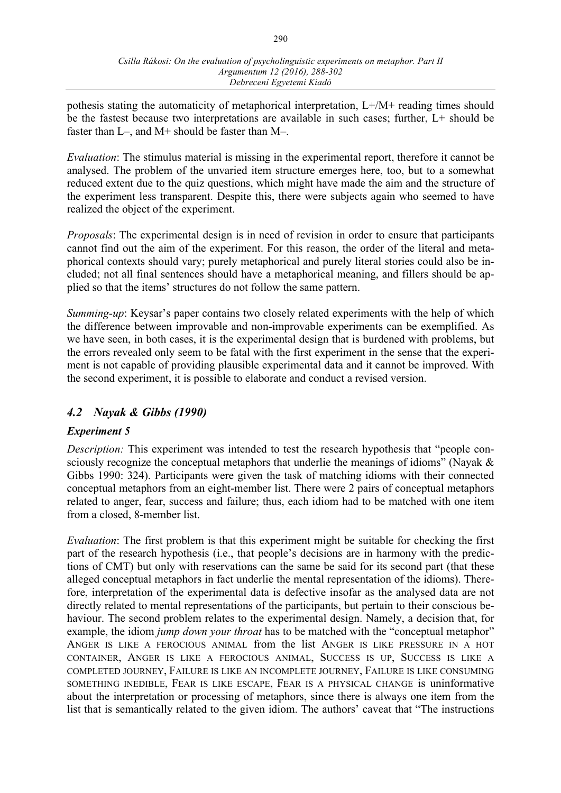pothesis stating the automaticity of metaphorical interpretation, L+/M+ reading times should be the fastest because two interpretations are available in such cases; further, L+ should be faster than L–, and M+ should be faster than M–.

*Evaluation*: The stimulus material is missing in the experimental report, therefore it cannot be analysed. The problem of the unvaried item structure emerges here, too, but to a somewhat reduced extent due to the quiz questions, which might have made the aim and the structure of the experiment less transparent. Despite this, there were subjects again who seemed to have realized the object of the experiment.

*Proposals*: The experimental design is in need of revision in order to ensure that participants cannot find out the aim of the experiment. For this reason, the order of the literal and metaphorical contexts should vary; purely metaphorical and purely literal stories could also be included; not all final sentences should have a metaphorical meaning, and fillers should be applied so that the items' structures do not follow the same pattern.

*Summing-up*: Keysar's paper contains two closely related experiments with the help of which the difference between improvable and non-improvable experiments can be exemplified. As we have seen, in both cases, it is the experimental design that is burdened with problems, but the errors revealed only seem to be fatal with the first experiment in the sense that the experiment is not capable of providing plausible experimental data and it cannot be improved. With the second experiment, it is possible to elaborate and conduct a revised version.

## *4.2 Nayak & Gibbs (1990)*

## *Experiment 5*

*Description:* This experiment was intended to test the research hypothesis that "people consciously recognize the conceptual metaphors that underlie the meanings of idioms" (Nayak  $\&$ Gibbs 1990: 324). Participants were given the task of matching idioms with their connected conceptual metaphors from an eight-member list. There were 2 pairs of conceptual metaphors related to anger, fear, success and failure; thus, each idiom had to be matched with one item from a closed, 8-member list.

*Evaluation*: The first problem is that this experiment might be suitable for checking the first part of the research hypothesis (i.e., that people's decisions are in harmony with the predictions of CMT) but only with reservations can the same be said for its second part (that these alleged conceptual metaphors in fact underlie the mental representation of the idioms). Therefore, interpretation of the experimental data is defective insofar as the analysed data are not directly related to mental representations of the participants, but pertain to their conscious behaviour. The second problem relates to the experimental design. Namely, a decision that, for example, the idiom *jump down your throat* has to be matched with the "conceptual metaphor" ANGER IS LIKE A FEROCIOUS ANIMAL from the list ANGER IS LIKE PRESSURE IN A HOT CONTAINER, ANGER IS LIKE A FEROCIOUS ANIMAL, SUCCESS IS UP, SUCCESS IS LIKE A COMPLETED JOURNEY, FAILURE IS LIKE AN INCOMPLETE JOURNEY, FAILURE IS LIKE CONSUMING SOMETHING INEDIBLE, FEAR IS LIKE ESCAPE, FEAR IS A PHYSICAL CHANGE is uninformative about the interpretation or processing of metaphors, since there is always one item from the list that is semantically related to the given idiom. The authors' caveat that "The instructions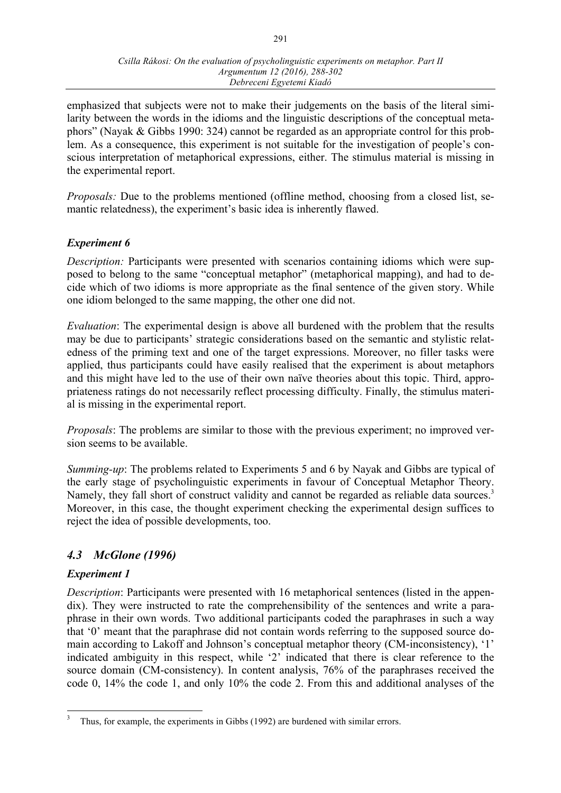emphasized that subjects were not to make their judgements on the basis of the literal similarity between the words in the idioms and the linguistic descriptions of the conceptual metaphors" (Nayak & Gibbs 1990: 324) cannot be regarded as an appropriate control for this problem. As a consequence, this experiment is not suitable for the investigation of people's conscious interpretation of metaphorical expressions, either. The stimulus material is missing in the experimental report.

*Proposals:* Due to the problems mentioned (offline method, choosing from a closed list, semantic relatedness), the experiment's basic idea is inherently flawed.

#### *Experiment 6*

*Description:* Participants were presented with scenarios containing idioms which were supposed to belong to the same "conceptual metaphor" (metaphorical mapping), and had to decide which of two idioms is more appropriate as the final sentence of the given story. While one idiom belonged to the same mapping, the other one did not.

*Evaluation*: The experimental design is above all burdened with the problem that the results may be due to participants' strategic considerations based on the semantic and stylistic relatedness of the priming text and one of the target expressions. Moreover, no filler tasks were applied, thus participants could have easily realised that the experiment is about metaphors and this might have led to the use of their own naïve theories about this topic. Third, appropriateness ratings do not necessarily reflect processing difficulty. Finally, the stimulus material is missing in the experimental report.

*Proposals*: The problems are similar to those with the previous experiment; no improved version seems to be available.

*Summing-up*: The problems related to Experiments 5 and 6 by Nayak and Gibbs are typical of the early stage of psycholinguistic experiments in favour of Conceptual Metaphor Theory. Namely, they fall short of construct validity and cannot be regarded as reliable data sources.<sup>3</sup> Moreover, in this case, the thought experiment checking the experimental design suffices to reject the idea of possible developments, too.

## *4.3 McGlone (1996)*

#### *Experiment 1*

*Description*: Participants were presented with 16 metaphorical sentences (listed in the appendix). They were instructed to rate the comprehensibility of the sentences and write a paraphrase in their own words. Two additional participants coded the paraphrases in such a way that '0' meant that the paraphrase did not contain words referring to the supposed source domain according to Lakoff and Johnson's conceptual metaphor theory (CM-inconsistency), '1' indicated ambiguity in this respect, while '2' indicated that there is clear reference to the source domain (CM-consistency). In content analysis, 76% of the paraphrases received the code 0, 14% the code 1, and only 10% the code 2. From this and additional analyses of the

Thus, for example, the experiments in Gibbs (1992) are burdened with similar errors.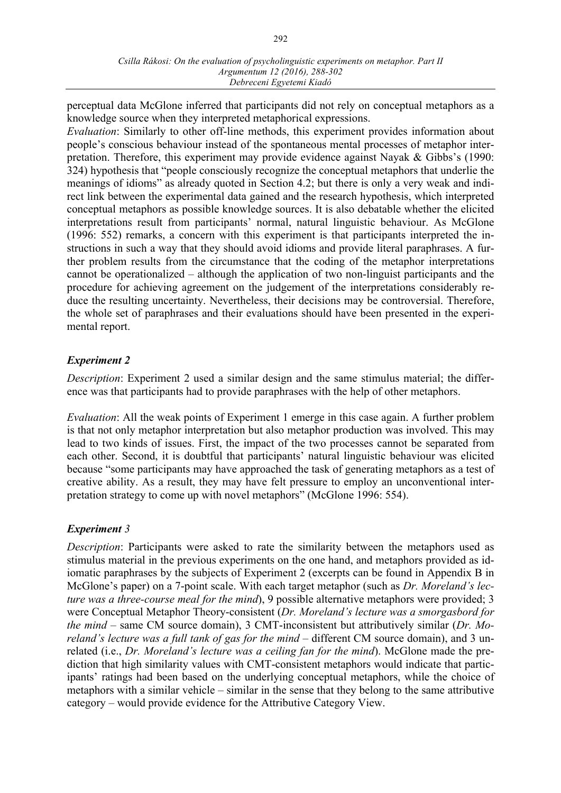perceptual data McGlone inferred that participants did not rely on conceptual metaphors as a knowledge source when they interpreted metaphorical expressions.

*Evaluation*: Similarly to other off-line methods, this experiment provides information about people's conscious behaviour instead of the spontaneous mental processes of metaphor interpretation. Therefore, this experiment may provide evidence against Nayak & Gibbs's (1990: 324) hypothesis that "people consciously recognize the conceptual metaphors that underlie the meanings of idioms" as already quoted in Section 4.2; but there is only a very weak and indirect link between the experimental data gained and the research hypothesis, which interpreted conceptual metaphors as possible knowledge sources. It is also debatable whether the elicited interpretations result from participants' normal, natural linguistic behaviour. As McGlone (1996: 552) remarks, a concern with this experiment is that participants interpreted the instructions in such a way that they should avoid idioms and provide literal paraphrases. A further problem results from the circumstance that the coding of the metaphor interpretations cannot be operationalized – although the application of two non-linguist participants and the procedure for achieving agreement on the judgement of the interpretations considerably reduce the resulting uncertainty. Nevertheless, their decisions may be controversial. Therefore, the whole set of paraphrases and their evaluations should have been presented in the experimental report.

#### *Experiment 2*

*Description*: Experiment 2 used a similar design and the same stimulus material; the difference was that participants had to provide paraphrases with the help of other metaphors.

*Evaluation*: All the weak points of Experiment 1 emerge in this case again. A further problem is that not only metaphor interpretation but also metaphor production was involved. This may lead to two kinds of issues. First, the impact of the two processes cannot be separated from each other. Second, it is doubtful that participants' natural linguistic behaviour was elicited because "some participants may have approached the task of generating metaphors as a test of creative ability. As a result, they may have felt pressure to employ an unconventional interpretation strategy to come up with novel metaphors" (McGlone 1996: 554).

#### *Experiment 3*

*Description*: Participants were asked to rate the similarity between the metaphors used as stimulus material in the previous experiments on the one hand, and metaphors provided as idiomatic paraphrases by the subjects of Experiment 2 (excerpts can be found in Appendix B in McGlone's paper) on a 7-point scale. With each target metaphor (such as *Dr. Moreland's lecture was a three-course meal for the mind*), 9 possible alternative metaphors were provided; 3 were Conceptual Metaphor Theory-consistent (*Dr. Moreland's lecture was a smorgasbord for the mind* – same CM source domain), 3 CMT-inconsistent but attributively similar (*Dr. Moreland's lecture was a full tank of gas for the mind – different CM source domain)*, and 3 unrelated (i.e., *Dr. Moreland's lecture was a ceiling fan for the mind*). McGlone made the prediction that high similarity values with CMT-consistent metaphors would indicate that participants' ratings had been based on the underlying conceptual metaphors, while the choice of metaphors with a similar vehicle – similar in the sense that they belong to the same attributive category – would provide evidence for the Attributive Category View.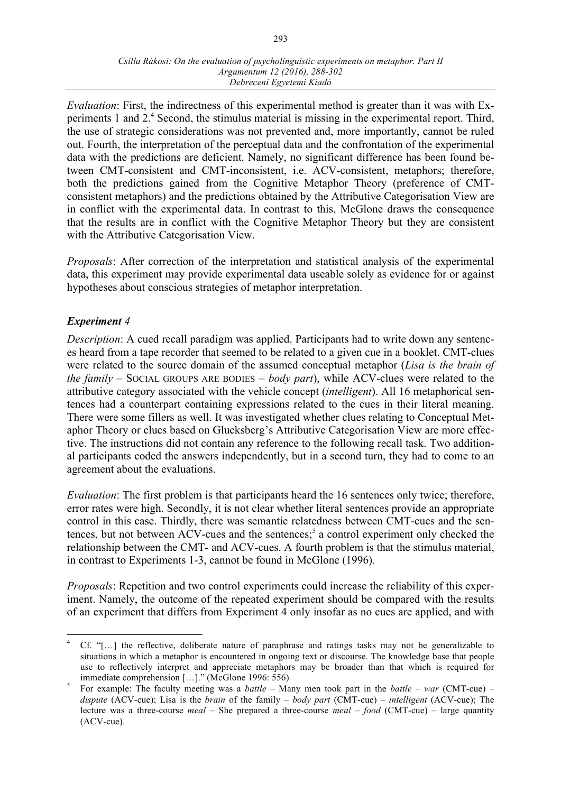*Evaluation*: First, the indirectness of this experimental method is greater than it was with Experiments 1 and 2.<sup>4</sup> Second, the stimulus material is missing in the experimental report. Third, the use of strategic considerations was not prevented and, more importantly, cannot be ruled out. Fourth, the interpretation of the perceptual data and the confrontation of the experimental data with the predictions are deficient. Namely, no significant difference has been found between CMT-consistent and CMT-inconsistent, i.e. ACV-consistent, metaphors; therefore, both the predictions gained from the Cognitive Metaphor Theory (preference of CMTconsistent metaphors) and the predictions obtained by the Attributive Categorisation View are in conflict with the experimental data. In contrast to this, McGlone draws the consequence that the results are in conflict with the Cognitive Metaphor Theory but they are consistent with the Attributive Categorisation View.

*Proposals*: After correction of the interpretation and statistical analysis of the experimental data, this experiment may provide experimental data useable solely as evidence for or against hypotheses about conscious strategies of metaphor interpretation.

#### *Experiment 4*

*Description*: A cued recall paradigm was applied. Participants had to write down any sentences heard from a tape recorder that seemed to be related to a given cue in a booklet. CMT-clues were related to the source domain of the assumed conceptual metaphor (*Lisa is the brain of the family* – SOCIAL GROUPS ARE BODIES – *body part*), while ACV-clues were related to the attributive category associated with the vehicle concept (*intelligent*). All 16 metaphorical sentences had a counterpart containing expressions related to the cues in their literal meaning. There were some fillers as well. It was investigated whether clues relating to Conceptual Metaphor Theory or clues based on Glucksberg's Attributive Categorisation View are more effective. The instructions did not contain any reference to the following recall task. Two additional participants coded the answers independently, but in a second turn, they had to come to an agreement about the evaluations.

*Evaluation*: The first problem is that participants heard the 16 sentences only twice; therefore, error rates were high. Secondly, it is not clear whether literal sentences provide an appropriate control in this case. Thirdly, there was semantic relatedness between CMT-cues and the sentences, but not between  $ACV$ -cues and the sentences;<sup>5</sup> a control experiment only checked the relationship between the CMT- and ACV-cues. A fourth problem is that the stimulus material, in contrast to Experiments 1-3, cannot be found in McGlone (1996).

*Proposals*: Repetition and two control experiments could increase the reliability of this experiment. Namely, the outcome of the repeated experiment should be compared with the results of an experiment that differs from Experiment 4 only insofar as no cues are applied, and with

 <sup>4</sup> Cf. "[…] the reflective, deliberate nature of paraphrase and ratings tasks may not be generalizable to situations in which a metaphor is encountered in ongoing text or discourse. The knowledge base that people use to reflectively interpret and appreciate metaphors may be broader than that which is required for immediate comprehension […]." (McGlone 1996: 556)<br><sup>5</sup> For example: The faculty meeting was a *battle* – Many men took part in the *battle* – *war* (CMT-cue) –

*dispute* (ACV-cue); Lisa is the *brain* of the family – *body part* (CMT-cue) – *intelligent* (ACV-cue); The lecture was a three-course *meal* – She prepared a three-course *meal* – *food* (CMT-cue) – large quantity (ACV-cue).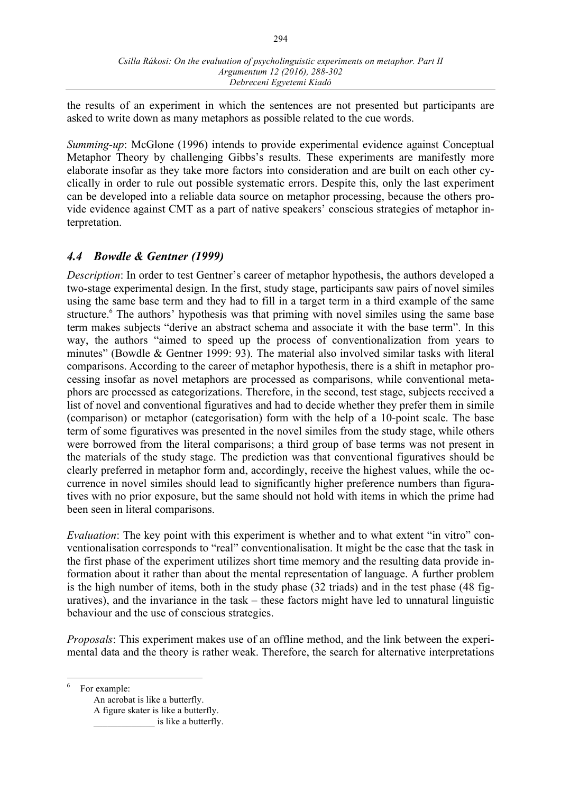the results of an experiment in which the sentences are not presented but participants are asked to write down as many metaphors as possible related to the cue words.

*Summing-up*: McGlone (1996) intends to provide experimental evidence against Conceptual Metaphor Theory by challenging Gibbs's results. These experiments are manifestly more elaborate insofar as they take more factors into consideration and are built on each other cyclically in order to rule out possible systematic errors. Despite this, only the last experiment can be developed into a reliable data source on metaphor processing, because the others provide evidence against CMT as a part of native speakers' conscious strategies of metaphor interpretation.

# *4.4 Bowdle & Gentner (1999)*

*Description*: In order to test Gentner's career of metaphor hypothesis, the authors developed a two-stage experimental design. In the first, study stage, participants saw pairs of novel similes using the same base term and they had to fill in a target term in a third example of the same structure.<sup>6</sup> The authors' hypothesis was that priming with novel similes using the same base term makes subjects "derive an abstract schema and associate it with the base term". In this way, the authors "aimed to speed up the process of conventionalization from years to minutes" (Bowdle & Gentner 1999: 93). The material also involved similar tasks with literal comparisons. According to the career of metaphor hypothesis, there is a shift in metaphor processing insofar as novel metaphors are processed as comparisons, while conventional metaphors are processed as categorizations. Therefore, in the second, test stage, subjects received a list of novel and conventional figuratives and had to decide whether they prefer them in simile (comparison) or metaphor (categorisation) form with the help of a 10-point scale. The base term of some figuratives was presented in the novel similes from the study stage, while others were borrowed from the literal comparisons; a third group of base terms was not present in the materials of the study stage. The prediction was that conventional figuratives should be clearly preferred in metaphor form and, accordingly, receive the highest values, while the occurrence in novel similes should lead to significantly higher preference numbers than figuratives with no prior exposure, but the same should not hold with items in which the prime had been seen in literal comparisons.

*Evaluation*: The key point with this experiment is whether and to what extent "in vitro" conventionalisation corresponds to "real" conventionalisation. It might be the case that the task in the first phase of the experiment utilizes short time memory and the resulting data provide information about it rather than about the mental representation of language. A further problem is the high number of items, both in the study phase (32 triads) and in the test phase (48 figuratives), and the invariance in the task – these factors might have led to unnatural linguistic behaviour and the use of conscious strategies.

*Proposals*: This experiment makes use of an offline method, and the link between the experimental data and the theory is rather weak. Therefore, the search for alternative interpretations

6 For example:

An acrobat is like a butterfly. A figure skater is like a butterfly.

is like a butterfly.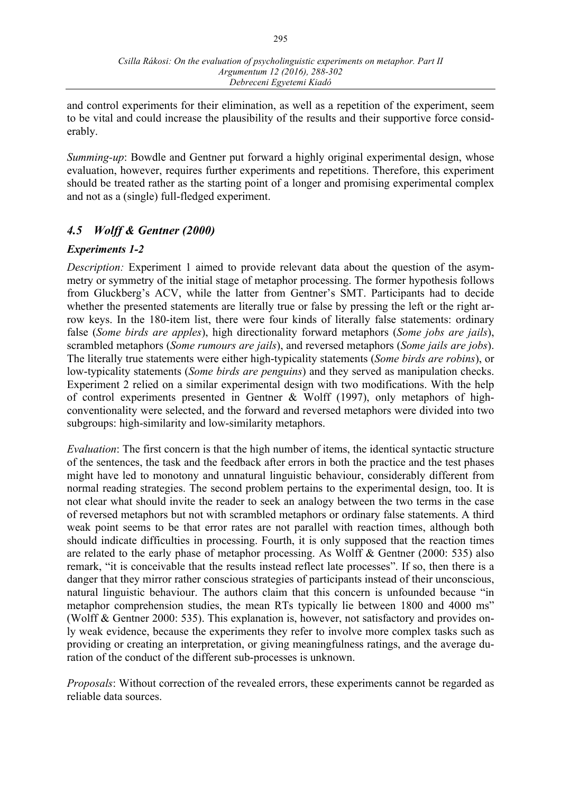and control experiments for their elimination, as well as a repetition of the experiment, seem to be vital and could increase the plausibility of the results and their supportive force considerably.

*Summing-up*: Bowdle and Gentner put forward a highly original experimental design, whose evaluation, however, requires further experiments and repetitions. Therefore, this experiment should be treated rather as the starting point of a longer and promising experimental complex and not as a (single) full-fledged experiment.

# *4.5 Wolff & Gentner (2000)*

#### *Experiments 1-2*

*Description:* Experiment 1 aimed to provide relevant data about the question of the asymmetry or symmetry of the initial stage of metaphor processing. The former hypothesis follows from Gluckberg's ACV, while the latter from Gentner's SMT. Participants had to decide whether the presented statements are literally true or false by pressing the left or the right arrow keys. In the 180-item list, there were four kinds of literally false statements: ordinary false (*Some birds are apples*), high directionality forward metaphors (*Some jobs are jails*), scrambled metaphors (*Some rumours are jails*), and reversed metaphors (*Some jails are jobs*). The literally true statements were either high-typicality statements (*Some birds are robins*), or low-typicality statements (*Some birds are penguins*) and they served as manipulation checks. Experiment 2 relied on a similar experimental design with two modifications. With the help of control experiments presented in Gentner & Wolff (1997), only metaphors of highconventionality were selected, and the forward and reversed metaphors were divided into two subgroups: high-similarity and low-similarity metaphors.

*Evaluation*: The first concern is that the high number of items, the identical syntactic structure of the sentences, the task and the feedback after errors in both the practice and the test phases might have led to monotony and unnatural linguistic behaviour, considerably different from normal reading strategies. The second problem pertains to the experimental design, too. It is not clear what should invite the reader to seek an analogy between the two terms in the case of reversed metaphors but not with scrambled metaphors or ordinary false statements. A third weak point seems to be that error rates are not parallel with reaction times, although both should indicate difficulties in processing. Fourth, it is only supposed that the reaction times are related to the early phase of metaphor processing. As Wolff & Gentner (2000: 535) also remark, "it is conceivable that the results instead reflect late processes". If so, then there is a danger that they mirror rather conscious strategies of participants instead of their unconscious, natural linguistic behaviour. The authors claim that this concern is unfounded because "in metaphor comprehension studies, the mean RTs typically lie between 1800 and 4000 ms" (Wolff & Gentner 2000: 535). This explanation is, however, not satisfactory and provides only weak evidence, because the experiments they refer to involve more complex tasks such as providing or creating an interpretation, or giving meaningfulness ratings, and the average duration of the conduct of the different sub-processes is unknown.

*Proposals*: Without correction of the revealed errors, these experiments cannot be regarded as reliable data sources.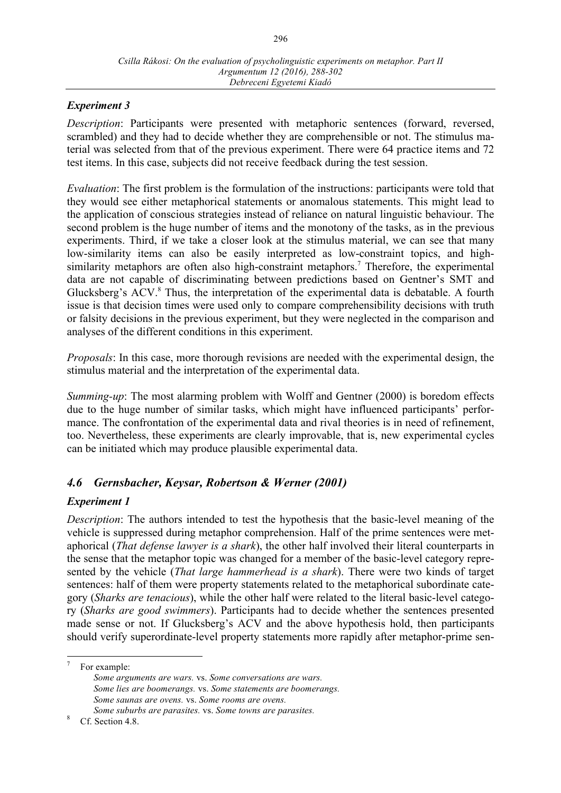#### *Experiment 3*

*Description*: Participants were presented with metaphoric sentences (forward, reversed, scrambled) and they had to decide whether they are comprehensible or not. The stimulus material was selected from that of the previous experiment. There were 64 practice items and 72 test items. In this case, subjects did not receive feedback during the test session.

*Evaluation*: The first problem is the formulation of the instructions: participants were told that they would see either metaphorical statements or anomalous statements. This might lead to the application of conscious strategies instead of reliance on natural linguistic behaviour. The second problem is the huge number of items and the monotony of the tasks, as in the previous experiments. Third, if we take a closer look at the stimulus material, we can see that many low-similarity items can also be easily interpreted as low-constraint topics, and highsimilarity metaphors are often also high-constraint metaphors.<sup>7</sup> Therefore, the experimental data are not capable of discriminating between predictions based on Gentner's SMT and Glucksberg's ACV.<sup>8</sup> Thus, the interpretation of the experimental data is debatable. A fourth issue is that decision times were used only to compare comprehensibility decisions with truth or falsity decisions in the previous experiment, but they were neglected in the comparison and analyses of the different conditions in this experiment.

*Proposals*: In this case, more thorough revisions are needed with the experimental design, the stimulus material and the interpretation of the experimental data.

*Summing-up*: The most alarming problem with Wolff and Gentner (2000) is boredom effects due to the huge number of similar tasks, which might have influenced participants' performance. The confrontation of the experimental data and rival theories is in need of refinement, too. Nevertheless, these experiments are clearly improvable, that is, new experimental cycles can be initiated which may produce plausible experimental data.

## *4.6 Gernsbacher, Keysar, Robertson & Werner (2001)*

#### *Experiment 1*

*Description*: The authors intended to test the hypothesis that the basic-level meaning of the vehicle is suppressed during metaphor comprehension. Half of the prime sentences were metaphorical (*That defense lawyer is a shark*), the other half involved their literal counterparts in the sense that the metaphor topic was changed for a member of the basic-level category represented by the vehicle (*That large hammerhead is a shark*). There were two kinds of target sentences: half of them were property statements related to the metaphorical subordinate category (*Sharks are tenacious*), while the other half were related to the literal basic-level category (*Sharks are good swimmers*). Participants had to decide whether the sentences presented made sense or not. If Glucksberg's ACV and the above hypothesis hold, then participants should verify superordinate-level property statements more rapidly after metaphor-prime sen-

For example: *Some arguments are wars.* vs. *Some conversations are wars. Some lies are boomerangs.* vs. *Some statements are boomerangs. Some saunas are ovens.* vs. *Some rooms are ovens.*

*Some suburbs are parasites.* vs. *Some towns are parasites.* <sup>8</sup> Cf. Section 4.8.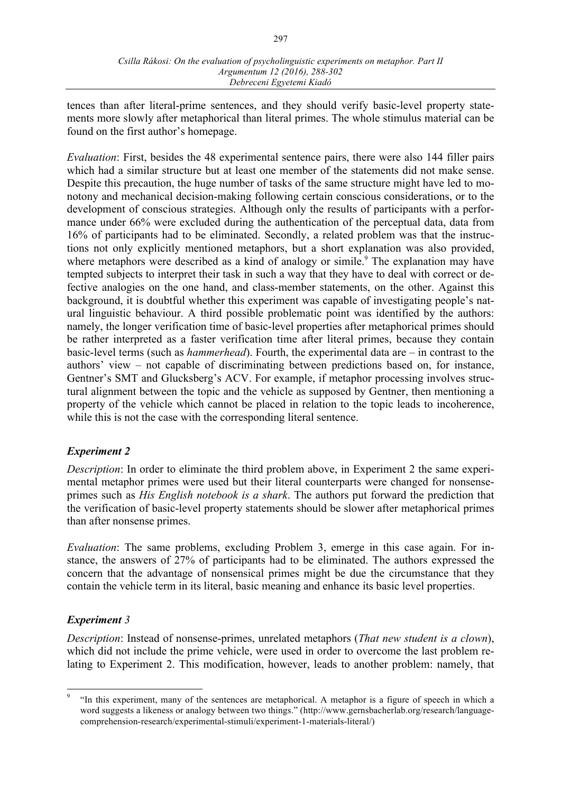tences than after literal-prime sentences, and they should verify basic-level property statements more slowly after metaphorical than literal primes. The whole stimulus material can be found on the first author's homepage.

*Evaluation*: First, besides the 48 experimental sentence pairs, there were also 144 filler pairs which had a similar structure but at least one member of the statements did not make sense. Despite this precaution, the huge number of tasks of the same structure might have led to monotony and mechanical decision-making following certain conscious considerations, or to the development of conscious strategies. Although only the results of participants with a performance under 66% were excluded during the authentication of the perceptual data, data from 16% of participants had to be eliminated. Secondly, a related problem was that the instructions not only explicitly mentioned metaphors, but a short explanation was also provided, where metaphors were described as a kind of analogy or simile.<sup>9</sup> The explanation may have tempted subjects to interpret their task in such a way that they have to deal with correct or defective analogies on the one hand, and class-member statements, on the other. Against this background, it is doubtful whether this experiment was capable of investigating people's natural linguistic behaviour. A third possible problematic point was identified by the authors: namely, the longer verification time of basic-level properties after metaphorical primes should be rather interpreted as a faster verification time after literal primes, because they contain basic-level terms (such as *hammerhead*). Fourth, the experimental data are – in contrast to the authors' view – not capable of discriminating between predictions based on, for instance, Gentner's SMT and Glucksberg's ACV. For example, if metaphor processing involves structural alignment between the topic and the vehicle as supposed by Gentner, then mentioning a property of the vehicle which cannot be placed in relation to the topic leads to incoherence, while this is not the case with the corresponding literal sentence.

#### *Experiment 2*

*Description*: In order to eliminate the third problem above, in Experiment 2 the same experimental metaphor primes were used but their literal counterparts were changed for nonsenseprimes such as *His English notebook is a shark*. The authors put forward the prediction that the verification of basic-level property statements should be slower after metaphorical primes than after nonsense primes.

*Evaluation*: The same problems, excluding Problem 3, emerge in this case again. For instance, the answers of 27% of participants had to be eliminated. The authors expressed the concern that the advantage of nonsensical primes might be due the circumstance that they contain the vehicle term in its literal, basic meaning and enhance its basic level properties.

## *Experiment 3*

*Description*: Instead of nonsense-primes, unrelated metaphors (*That new student is a clown*), which did not include the prime vehicle, were used in order to overcome the last problem relating to Experiment 2. This modification, however, leads to another problem: namely, that

 <sup>9</sup> "In this experiment, many of the sentences are metaphorical. A metaphor is a figure of speech in which a word suggests a likeness or analogy between two things." (http://www.gernsbacherlab.org/research/languagecomprehension-research/experimental-stimuli/experiment-1-materials-literal/)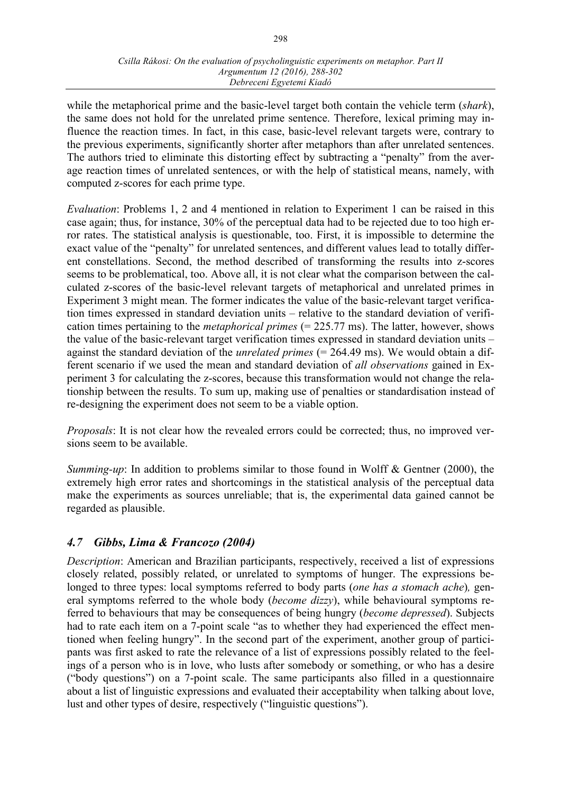while the metaphorical prime and the basic-level target both contain the vehicle term (*shark*), the same does not hold for the unrelated prime sentence. Therefore, lexical priming may influence the reaction times. In fact, in this case, basic-level relevant targets were, contrary to the previous experiments, significantly shorter after metaphors than after unrelated sentences. The authors tried to eliminate this distorting effect by subtracting a "penalty" from the average reaction times of unrelated sentences, or with the help of statistical means, namely, with computed z-scores for each prime type.

*Evaluation*: Problems 1, 2 and 4 mentioned in relation to Experiment 1 can be raised in this case again; thus, for instance, 30% of the perceptual data had to be rejected due to too high error rates. The statistical analysis is questionable, too. First, it is impossible to determine the exact value of the "penalty" for unrelated sentences, and different values lead to totally different constellations. Second, the method described of transforming the results into z-scores seems to be problematical, too. Above all, it is not clear what the comparison between the calculated z-scores of the basic-level relevant targets of metaphorical and unrelated primes in Experiment 3 might mean. The former indicates the value of the basic-relevant target verification times expressed in standard deviation units – relative to the standard deviation of verification times pertaining to the *metaphorical primes* (= 225.77 ms). The latter, however, shows the value of the basic-relevant target verification times expressed in standard deviation units – against the standard deviation of the *unrelated primes* (= 264.49 ms). We would obtain a different scenario if we used the mean and standard deviation of *all observations* gained in Experiment 3 for calculating the z-scores, because this transformation would not change the relationship between the results. To sum up, making use of penalties or standardisation instead of re-designing the experiment does not seem to be a viable option.

*Proposals*: It is not clear how the revealed errors could be corrected; thus, no improved versions seem to be available.

*Summing-up*: In addition to problems similar to those found in Wolff & Gentner (2000), the extremely high error rates and shortcomings in the statistical analysis of the perceptual data make the experiments as sources unreliable; that is, the experimental data gained cannot be regarded as plausible.

# *4.7 Gibbs, Lima & Francozo (2004)*

*Description*: American and Brazilian participants, respectively, received a list of expressions closely related, possibly related, or unrelated to symptoms of hunger. The expressions belonged to three types: local symptoms referred to body parts (*one has a stomach ache*)*,* general symptoms referred to the whole body (*become dizzy*), while behavioural symptoms referred to behaviours that may be consequences of being hungry (*become depressed*). Subjects had to rate each item on a 7-point scale "as to whether they had experienced the effect mentioned when feeling hungry". In the second part of the experiment, another group of participants was first asked to rate the relevance of a list of expressions possibly related to the feelings of a person who is in love, who lusts after somebody or something, or who has a desire ("body questions") on a 7-point scale. The same participants also filled in a questionnaire about a list of linguistic expressions and evaluated their acceptability when talking about love, lust and other types of desire, respectively ("linguistic questions").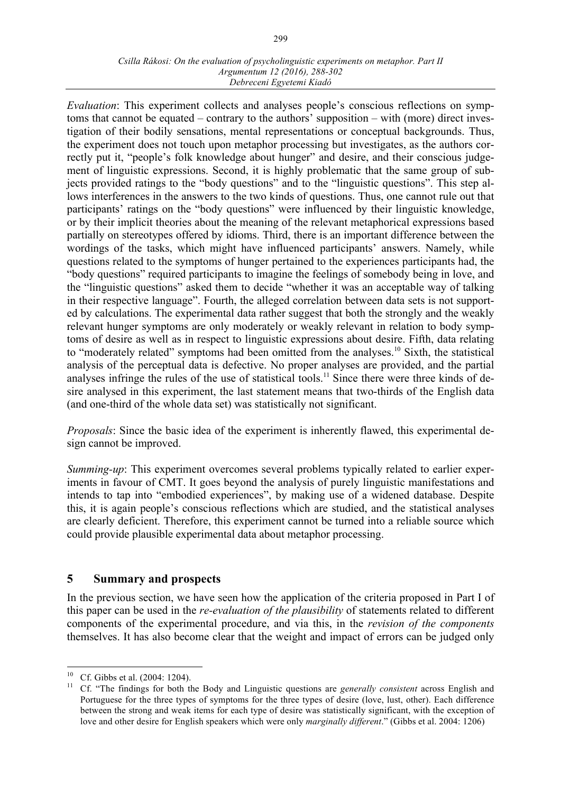#### *Csilla Rákosi: On the evaluation of psycholinguistic experiments on metaphor. Part II Argumentum 12 (2016), 288-302 Debreceni Egyetemi Kiadó*

*Evaluation*: This experiment collects and analyses people's conscious reflections on symptoms that cannot be equated – contrary to the authors' supposition – with (more) direct investigation of their bodily sensations, mental representations or conceptual backgrounds. Thus, the experiment does not touch upon metaphor processing but investigates, as the authors correctly put it, "people's folk knowledge about hunger" and desire, and their conscious judgement of linguistic expressions. Second, it is highly problematic that the same group of subjects provided ratings to the "body questions" and to the "linguistic questions". This step allows interferences in the answers to the two kinds of questions. Thus, one cannot rule out that participants' ratings on the "body questions" were influenced by their linguistic knowledge, or by their implicit theories about the meaning of the relevant metaphorical expressions based partially on stereotypes offered by idioms. Third, there is an important difference between the wordings of the tasks, which might have influenced participants' answers. Namely, while questions related to the symptoms of hunger pertained to the experiences participants had, the "body questions" required participants to imagine the feelings of somebody being in love, and the "linguistic questions" asked them to decide "whether it was an acceptable way of talking in their respective language". Fourth, the alleged correlation between data sets is not supported by calculations. The experimental data rather suggest that both the strongly and the weakly relevant hunger symptoms are only moderately or weakly relevant in relation to body symptoms of desire as well as in respect to linguistic expressions about desire. Fifth, data relating to "moderately related" symptoms had been omitted from the analyses.<sup>10</sup> Sixth, the statistical analysis of the perceptual data is defective. No proper analyses are provided, and the partial analyses infringe the rules of the use of statistical tools.<sup>11</sup> Since there were three kinds of desire analysed in this experiment, the last statement means that two-thirds of the English data (and one-third of the whole data set) was statistically not significant.

*Proposals*: Since the basic idea of the experiment is inherently flawed, this experimental design cannot be improved.

*Summing-up*: This experiment overcomes several problems typically related to earlier experiments in favour of CMT. It goes beyond the analysis of purely linguistic manifestations and intends to tap into "embodied experiences", by making use of a widened database. Despite this, it is again people's conscious reflections which are studied, and the statistical analyses are clearly deficient. Therefore, this experiment cannot be turned into a reliable source which could provide plausible experimental data about metaphor processing.

#### **5 Summary and prospects**

In the previous section, we have seen how the application of the criteria proposed in Part I of this paper can be used in the *re-evaluation of the plausibility* of statements related to different components of the experimental procedure, and via this, in the *revision of the components* themselves. It has also become clear that the weight and impact of errors can be judged only

<sup>&</sup>lt;sup>10</sup> Cf. Gibbs et al. (2004: 1204).<br><sup>11</sup> Cf. "The findings for both the Body and Linguistic questions are *generally consistent* across English and Portuguese for the three types of symptoms for the three types of desire (love, lust, other). Each difference between the strong and weak items for each type of desire was statistically significant, with the exception of love and other desire for English speakers which were only *marginally different*." (Gibbs et al. 2004: 1206)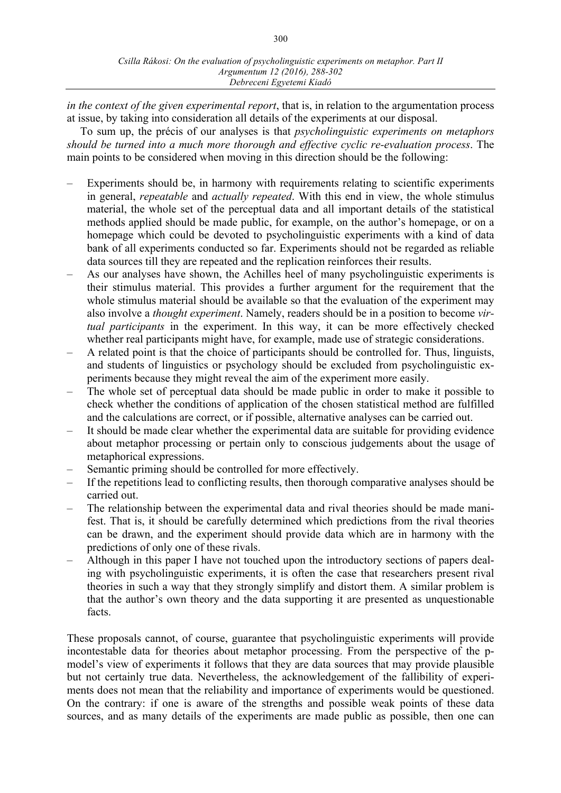*in the context of the given experimental report*, that is, in relation to the argumentation process at issue, by taking into consideration all details of the experiments at our disposal.

To sum up, the précis of our analyses is that *psycholinguistic experiments on metaphors should be turned into a much more thorough and effective cyclic re-evaluation process*. The main points to be considered when moving in this direction should be the following:

- Experiments should be, in harmony with requirements relating to scientific experiments in general, *repeatable* and *actually repeated*. With this end in view, the whole stimulus material, the whole set of the perceptual data and all important details of the statistical methods applied should be made public, for example, on the author's homepage, or on a homepage which could be devoted to psycholinguistic experiments with a kind of data bank of all experiments conducted so far. Experiments should not be regarded as reliable data sources till they are repeated and the replication reinforces their results.
- As our analyses have shown, the Achilles heel of many psycholinguistic experiments is their stimulus material. This provides a further argument for the requirement that the whole stimulus material should be available so that the evaluation of the experiment may also involve a *thought experiment*. Namely, readers should be in a position to become *virtual participants* in the experiment. In this way, it can be more effectively checked whether real participants might have, for example, made use of strategic considerations.
- A related point is that the choice of participants should be controlled for. Thus, linguists, and students of linguistics or psychology should be excluded from psycholinguistic experiments because they might reveal the aim of the experiment more easily.
- The whole set of perceptual data should be made public in order to make it possible to check whether the conditions of application of the chosen statistical method are fulfilled and the calculations are correct, or if possible, alternative analyses can be carried out.
- It should be made clear whether the experimental data are suitable for providing evidence about metaphor processing or pertain only to conscious judgements about the usage of metaphorical expressions.
- Semantic priming should be controlled for more effectively.
- If the repetitions lead to conflicting results, then thorough comparative analyses should be carried out.
- The relationship between the experimental data and rival theories should be made manifest. That is, it should be carefully determined which predictions from the rival theories can be drawn, and the experiment should provide data which are in harmony with the predictions of only one of these rivals.
- Although in this paper I have not touched upon the introductory sections of papers dealing with psycholinguistic experiments, it is often the case that researchers present rival theories in such a way that they strongly simplify and distort them. A similar problem is that the author's own theory and the data supporting it are presented as unquestionable facts.

These proposals cannot, of course, guarantee that psycholinguistic experiments will provide incontestable data for theories about metaphor processing. From the perspective of the pmodel's view of experiments it follows that they are data sources that may provide plausible but not certainly true data. Nevertheless, the acknowledgement of the fallibility of experiments does not mean that the reliability and importance of experiments would be questioned. On the contrary: if one is aware of the strengths and possible weak points of these data sources, and as many details of the experiments are made public as possible, then one can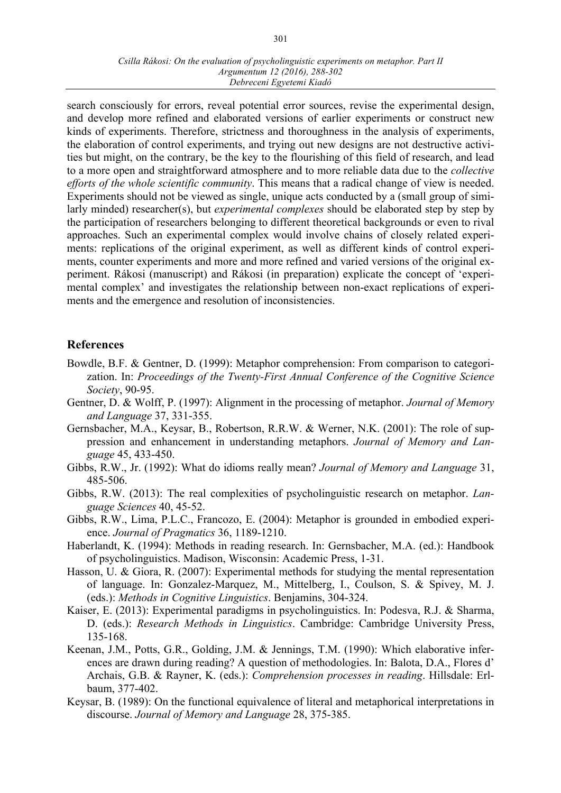search consciously for errors, reveal potential error sources, revise the experimental design, and develop more refined and elaborated versions of earlier experiments or construct new kinds of experiments. Therefore, strictness and thoroughness in the analysis of experiments, the elaboration of control experiments, and trying out new designs are not destructive activities but might, on the contrary, be the key to the flourishing of this field of research, and lead to a more open and straightforward atmosphere and to more reliable data due to the *collective efforts of the whole scientific community*. This means that a radical change of view is needed. Experiments should not be viewed as single, unique acts conducted by a (small group of similarly minded) researcher(s), but *experimental complexes* should be elaborated step by step by the participation of researchers belonging to different theoretical backgrounds or even to rival approaches. Such an experimental complex would involve chains of closely related experiments: replications of the original experiment, as well as different kinds of control experiments, counter experiments and more and more refined and varied versions of the original experiment. Rákosi (manuscript) and Rákosi (in preparation) explicate the concept of 'experimental complex' and investigates the relationship between non-exact replications of experiments and the emergence and resolution of inconsistencies.

#### **References**

- Bowdle, B.F. & Gentner, D. (1999): Metaphor comprehension: From comparison to categorization. In: *Proceedings of the Twenty-First Annual Conference of the Cognitive Science Society*, 90-95.
- Gentner, D. & Wolff, P. (1997): Alignment in the processing of metaphor. *Journal of Memory and Language* 37, 331-355.
- Gernsbacher, M.A., Keysar, B., Robertson, R.R.W. & Werner, N.K. (2001): The role of suppression and enhancement in understanding metaphors. *Journal of Memory and Language* 45, 433-450.
- Gibbs, R.W., Jr. (1992): What do idioms really mean? *Journal of Memory and Language* 31, 485-506.
- Gibbs, R.W. (2013): The real complexities of psycholinguistic research on metaphor. *Language Sciences* 40, 45-52.
- Gibbs, R.W., Lima, P.L.C., Francozo, E. (2004): Metaphor is grounded in embodied experience. *Journal of Pragmatics* 36, 1189-1210.
- Haberlandt, K. (1994): Methods in reading research. In: Gernsbacher, M.A. (ed.): Handbook of psycholinguistics. Madison, Wisconsin: Academic Press, 1-31.
- Hasson, U. & Giora, R. (2007): Experimental methods for studying the mental representation of language. In: Gonzalez-Marquez, M., Mittelberg, I., Coulson, S. & Spivey, M. J. (eds.): *Methods in Cognitive Linguistics*. Benjamins, 304-324.
- Kaiser, E. (2013): Experimental paradigms in psycholinguistics. In: Podesva, R.J. & Sharma, D. (eds.): *Research Methods in Linguistics*. Cambridge: Cambridge University Press, 135-168.
- Keenan, J.M., Potts, G.R., Golding, J.M. & Jennings, T.M. (1990): Which elaborative inferences are drawn during reading? A question of methodologies. In: Balota, D.A., Flores d' Archais, G.B. & Rayner, K. (eds.): *Comprehension processes in reading*. Hillsdale: Erlbaum, 377-402.
- Keysar, B. (1989): On the functional equivalence of literal and metaphorical interpretations in discourse. *Journal of Memory and Language* 28, 375-385.